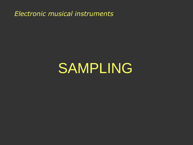*Electronic musical instruments*

# SAMPLING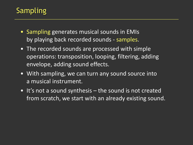# Sampling

- Sampling generates musical sounds in EMIs by playing back recorded sounds - samples.
- The recorded sounds are processed with simple operations: transposition, looping, filtering, adding envelope, adding sound effects.
- With sampling, we can turn any sound source into a musical instrument.
- It's not a sound synthesis the sound is not created from scratch, we start with an already existing sound.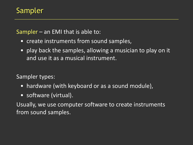#### Sampler

#### Sampler – an EMI that is able to:

- create instruments from sound samples,
- play back the samples, allowing a musician to play on it and use it as a musical instrument.

Sampler types:

- hardware (with keyboard or as a sound module),
- software (virtual).

Usually, we use computer software to create instruments from sound samples.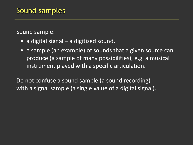Sound sample:

- a digital signal a digitized sound,
- a sample (an example) of sounds that a given source can produce (a sample of many possibilities), e.g. a musical instrument played with a specific articulation.

Do not confuse a sound sample (a sound recording) with a signal sample (a single value of a digital signal).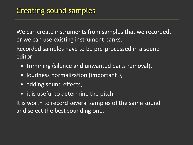We can create instruments from samples that we recorded, or we can use existing instrument banks.

Recorded samples have to be pre-processed in a sound editor:

- trimming (silence and unwanted parts removal),
- loudness normalization (important!),
- adding sound effects,
- it is useful to determine the pitch.

It is worth to record several samples of the same sound and select the best sounding one.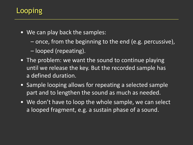# **Looping**

- We can play back the samples:
	- once, from the beginning to the end (e.g. percussive),
	- looped (repeating).
- The problem: we want the sound to continue playing until we release the key. But the recorded sample has a defined duration.
- Sample looping allows for repeating a selected sample part and to lengthen the sound as much as needed.
- We don't have to loop the whole sample, we can select a looped fragment, e.g. a sustain phase of a sound.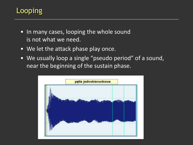# Looping

- In many cases, looping the whole sound is not what we need.
- We let the attack phase play once.
- We usually loop a single "pseudo period" of a sound, near the beginning of the sustain phase.

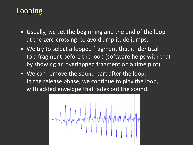# **Looping**

- Usually, we set the beginning and the end of the loop at the zero crossing, to avoid amplitude jumps.
- We try to select a looped fragment that is identical to a fragment before the loop (software helps with that by showing an overlapped fragment on a time plot).
- We can remove the sound part after the loop. In the release phase, we continue to play the loop, with added envelope that fades out the sound.

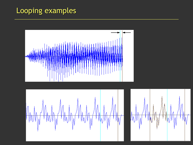## Looping examples





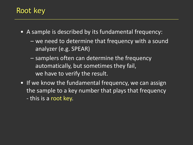#### Root key

- A sample is described by its fundamental frequency:
	- we need to determine that frequency with a sound analyzer (e.g. SPEAR)
	- samplers often can determine the frequency automatically, but sometimes they fail, we have to verify the result.
- If we know the fundamental frequency, we can assign the sample to a key number that plays that frequency - this is a root key.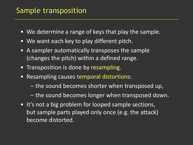### Sample transposition

- We determine a range of keys that play the sample.
- We want each key to play different pitch.
- A sampler automatically transposes the sample (changes the pitch) within a defined range.
- Transposition is done by resampling.
- Resampling causes temporal distortions:
	- the sound becomes shorter when transposed up,
	- the sound becomes longer when transposed down.
- It's not a big problem for looped sample sections, but sample parts played only once (e.g. the attack) become distorted.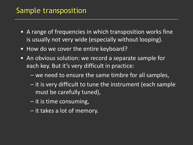## Sample transposition

- A range of frequencies in which transposition works fine is usually not very wide (especially without looping).
- How do we cover the entire keyboard?
- An obvious solution: we record a separate sample for each key. But it's very difficult in practice:
	- we need to ensure the same timbre for all samples,
	- it is very difficult to tune the instrument (each sample must be carefully tuned),
	- it is time consuming,
	- it takes a lot of memory.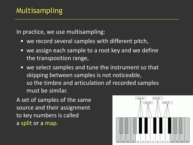In practice, we use multisampling:

- we record several samples with different pitch,
- we assign each sample to a root key and we define the transposition range,
- we select samples and tune the instrument so that skipping between samples is not noticeable, so the timbre and articulation of recorded samples must be similar.

A set of samples of the same source and their assignment to key numbers is called a split or a map.

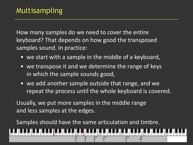How many samples do we need to cover the entire keyboard? That depends on how good the transposed samples sound. In practice:

- we start with a sample in the middle of a keyboard,
- we transpose it and we determine the range of keys in which the sample sounds good,
- we add another sample outside that range, and we repeat the process until the whole keyboard is covered.

Usually, we put more samples in the middle range and less samples at the edges.

Samples should have the same articulation and timbre.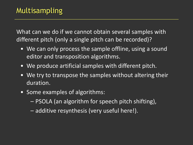What can we do if we cannot obtain several samples with different pitch (only a single pitch can be recorded)?

- We can only process the sample offline, using a sound editor and transposition algorithms.
- We produce artificial samples with different pitch.
- We try to transpose the samples without altering their duration.
- Some examples of algorithms:
	- PSOLA (an algorithm for speech pitch shifting),
	- additive resynthesis (very useful here!).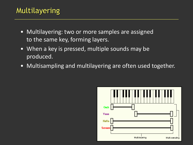## Multilayering

- Multilayering: two or more samples are assigned to the same key, forming layers.
- When a key is pressed, multiple sounds may be produced.
- Multisampling and multilayering are often used together.

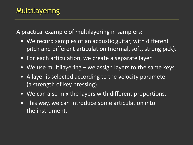A practical example of multilayering in samplers:

- We record samples of an acoustic guitar, with different pitch and different articulation (normal, soft, strong pick).
- For each articulation, we create a separate layer.
- We use multilayering we assign layers to the same keys.
- A layer is selected according to the velocity parameter (a strength of key pressing).
- We can also mix the layers with different proportions.
- This way, we can introduce some articulation into the instrument.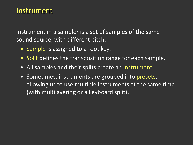Instrument in a sampler is a set of samples of the same sound source, with different pitch.

- Sample is assigned to a root key*.*
- Split defines the transposition range for each sample.
- All samples and their splits create an instrument.
- Sometimes, instruments are grouped into presets, allowing us to use multiple instruments at the same time (with multilayering or a keyboard split).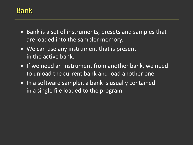### Bank

- Bank is a set of instruments, presets and samples that are loaded into the sampler memory.
- We can use any instrument that is present in the active bank.
- If we need an instrument from another bank, we need to unload the current bank and load another one.
- In a software sampler, a bank is usually contained in a single file loaded to the program.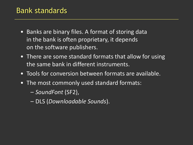#### Bank standards

- Banks are binary files. A format of storing data in the bank is often proprietary, it depends on the software publishers.
- There are some standard formats that allow for using the same bank in different instruments.
- Tools for conversion between formats are available.
- The most commonly used standard formats:
	- *SoundFont* (SF2),
	- DLS (*Downloadable Sounds*).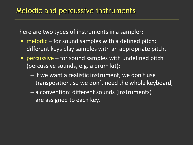There are two types of instruments in a sampler:

- melodic for sound samples with a defined pitch; different keys play samples with an appropriate pitch,
- percussive for sound samples with undefined pitch (percussive sounds, e.g. a drum kit):
	- if we want a realistic instrument, we don't use transposition, so we don't need the whole keyboard,
	- a convention: different sounds (instruments) are assigned to each key.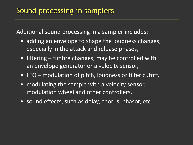Additional sound processing in a sampler includes:

- adding an envelope to shape the loudness changes, especially in the attack and release phases,
- filtering timbre changes, may be controlled with an envelope generator or a velocity sensor,
- LFO modulation of pitch, loudness or filter cutoff,
- modulating the sample with a velocity sensor, modulation wheel and other controllers,
- sound effects, such as delay, chorus, phasor, etc.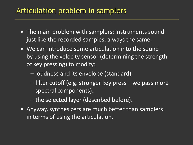#### Articulation problem in samplers

- The main problem with samplers: instruments sound just like the recorded samples, always the same.
- We can introduce some articulation into the sound by using the velocity sensor (determining the strength of key pressing) to modify:
	- loudness and its envelope (standard),
	- filter cutoff (e.g. stronger key press we pass more spectral components),
	- the selected layer (described before).
- Anyway, synthesizers are much better than samplers in terms of using the articulation.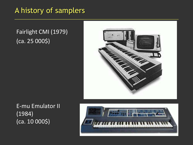#### A history of samplers

#### Fairlight CMI (1979)  $(ca. 25 0005)$



E-mu Emulator II (1984) (ca. 10 000\$)

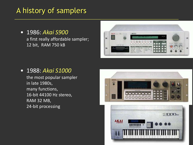## A history of samplers

• 1986: *Akai S900* a first really affordable sampler; 12 bit, RAM 750 kB



#### • 1988: *Akai S1000*

the most popular sampler in late 1980s, many functions, 16-bit 44100 Hz stereo, RAM 32 MB, 24-bit processing

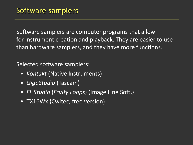Software samplers are computer programs that allow for instrument creation and playback. They are easier to use than hardware samplers, and they have more functions.

Selected software samplers:

- *Kontakt* (Native Instruments)
- *GigaStudio* (Tascam)
- *FL Studio* (*Fruity Loops*) (Image Line Soft.)
- TX16Wx (Cwitec, free version)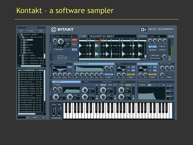#### Kontakt – a software sampler

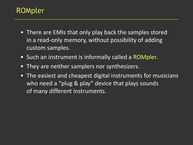- There are EMIs that only play back the samples stored in a read-only memory, without possibility of adding custom samples.
- Such an instrument is informally called a ROMpler*.*
- They are neither samplers nor synthesizers.
- The easiest and cheapest digital instruments for musicians who need a "plug & play" device that plays sounds of many different instruments.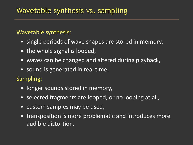## Wavetable synthesis vs. sampling

#### Wavetable synthesis:

- single periods of wave shapes are stored in memory,
- the whole signal is looped,
- waves can be changed and altered during playback,
- sound is generated in real time.

Sampling:

- longer sounds stored in memory,
- selected fragments are looped, or no looping at all,
- custom samples may be used,
- transposition is more problematic and introduces more audible distortion.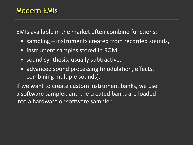EMIs available in the market often combine functions:

- sampling instruments created from recorded sounds,
- instrument samples stored in ROM,
- sound synthesis, usually subtractive,
- advanced sound processing (modulation, effects, combining multiple sounds).

If we want to create custom instrument banks, we use a software sampler, and the created banks are loaded into a hardware or software sampler.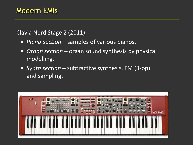Clavia Nord Stage 2 (2011)

- *Piano section* samples of various pianos,
- *Organ section* organ sound synthesis by physical modelling,
- *Synth section* subtractive synthesis, FM (3-op) and sampling.

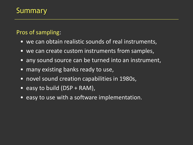## Summary

#### Pros of sampling:

- we can obtain realistic sounds of real instruments,
- we can create custom instruments from samples,
- any sound source can be turned into an instrument,
- many existing banks ready to use,
- novel sound creation capabilities in 1980s,
- easy to build  $(DSP + RAM)$ ,
- easy to use with a software implementation.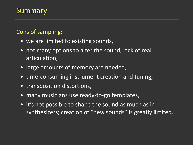## Summary

#### Cons of sampling:

- we are limited to existing sounds,
- not many options to alter the sound, lack of real articulation,
- large amounts of memory are needed,
- time-consuming instrument creation and tuning,
- transposition distortions,
- many musicians use ready-to-go templates,
- it's not possible to shape the sound as much as in synthesizers; creation of "new sounds" is greatly limited.